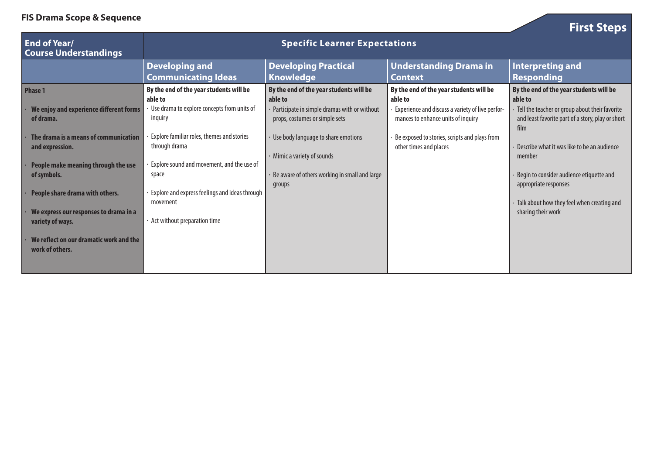**FIS Drama Scope & Sequence**

| <b>First Steps</b> |
|--------------------|
|--------------------|

| <b>End of Year/</b><br><b>Course Understandings</b>                                           | <b>Specific Learner Expectations</b>                                                                         |                                                                                                                                      |                                                                                                                                              |                                                                                                                                                           |
|-----------------------------------------------------------------------------------------------|--------------------------------------------------------------------------------------------------------------|--------------------------------------------------------------------------------------------------------------------------------------|----------------------------------------------------------------------------------------------------------------------------------------------|-----------------------------------------------------------------------------------------------------------------------------------------------------------|
|                                                                                               | <b>Developing and</b><br><b>Communicating Ideas</b>                                                          | <b>Developing Practical</b><br><b>Knowledge</b>                                                                                      | <b>Understanding Drama in</b><br>Context                                                                                                     | <b>Interpreting and</b><br><b>Responding</b>                                                                                                              |
| Phase 1<br>We enjoy and experience different forms<br>of drama.                               | By the end of the year students will be<br>able to<br>Use drama to explore concepts from units of<br>inquiry | By the end of the year students will be<br>able to<br>Participate in simple dramas with or without<br>props, costumes or simple sets | By the end of the year students will be<br>able to<br>Experience and discuss a variety of live perfor-<br>mances to enhance units of inquiry | By the end of the year students will be<br>able to<br>Tell the teacher or group about their favorite<br>and least favorite part of a story, play or short |
| The drama is a means of communication<br>and expression.                                      | <b>Explore familiar roles, themes and stories</b><br>through drama                                           | Use body language to share emotions<br>· Mimic a variety of sounds                                                                   | Be exposed to stories, scripts and plays from<br>other times and places                                                                      | film<br>Describe what it was like to be an audience<br>member                                                                                             |
| People make meaning through the use<br>of symbols.                                            | Explore sound and movement, and the use of<br>space<br><b>Explore and express feelings and ideas through</b> | Be aware of others working in small and large<br>groups                                                                              |                                                                                                                                              | Begin to consider audience etiquette and<br>appropriate responses                                                                                         |
| People share drama with others.<br>We express our responses to drama in a<br>variety of ways. | movement<br>· Act without preparation time                                                                   |                                                                                                                                      |                                                                                                                                              | Talk about how they feel when creating and<br>sharing their work                                                                                          |
| We reflect on our dramatic work and the<br>work of others.                                    |                                                                                                              |                                                                                                                                      |                                                                                                                                              |                                                                                                                                                           |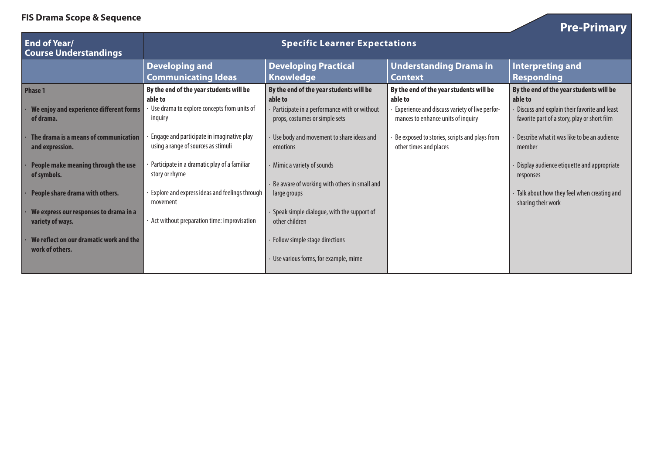**FIS Drama Scope & Sequence**

| <b>Pre-Primary</b> |
|--------------------|
|--------------------|

| <b>End of Year/</b><br><b>Course Understandings</b>        | <b>Specific Learner Expectations</b>                                              |                                                                                |                                                                                      |                                                                                              |
|------------------------------------------------------------|-----------------------------------------------------------------------------------|--------------------------------------------------------------------------------|--------------------------------------------------------------------------------------|----------------------------------------------------------------------------------------------|
|                                                            | <b>Developing and</b><br><b>Communicating Ideas</b>                               | <b>Developing Practical</b><br><b>Knowledge</b>                                | <b>Understanding Drama in</b><br><b>Context</b>                                      | Interpreting and<br><b>Responding</b>                                                        |
| Phase 1                                                    | By the end of the year students will be<br>able to                                | By the end of the year students will be<br>able to                             | By the end of the year students will be<br>able to                                   | By the end of the year students will be<br>able to                                           |
| We enjoy and experience different forms<br>of drama.       | Use drama to explore concepts from units of<br>inguiry                            | Participate in a performance with or without<br>props, costumes or simple sets | Experience and discuss variety of live perfor-<br>mances to enhance units of inquiry | Discuss and explain their favorite and least<br>favorite part of a story, play or short film |
| The drama is a means of communication<br>and expression.   | Engage and participate in imaginative play<br>using a range of sources as stimuli | Use body and movement to share ideas and<br>emotions                           | Be exposed to stories, scripts and plays from<br>other times and places              | Describe what it was like to be an audience<br>member                                        |
| People make meaning through the use<br>of symbols.         | Participate in a dramatic play of a familiar<br>story or rhyme                    | Mimic a variety of sounds                                                      |                                                                                      | Display audience etiquette and appropriate<br>responses                                      |
| People share drama with others.                            | Explore and express ideas and feelings through<br>movement                        | Be aware of working with others in small and<br>large groups                   |                                                                                      | Talk about how they feel when creating and<br>sharing their work                             |
| We express our responses to drama in a<br>variety of ways. | $\cdot$ Act without preparation time: improvisation                               | Speak simple dialogue, with the support of<br>other children                   |                                                                                      |                                                                                              |
| We reflect on our dramatic work and the<br>work of others. |                                                                                   | Follow simple stage directions                                                 |                                                                                      |                                                                                              |
|                                                            |                                                                                   | Use various forms, for example, mime                                           |                                                                                      |                                                                                              |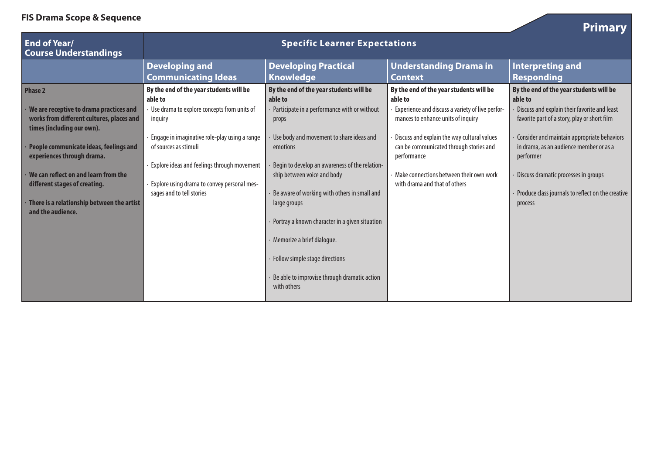|                 | <b>Primary</b>                 |
|-----------------|--------------------------------|
| anding Drama in | Interpreting and<br>Responding |

**Contract Contract Contract** 

| <b>End of Year/</b><br><b>Course Understandings</b>                                                                                                                                                                                                                                                                                                      | <b>Specific Learner Expectations</b>                                                                                                                                                                                                                                                                                |                                                                                                                                                                                                                                                                                                                                                                        |                                                                                                                                                                                                                                                                                                                                   |                                                                                                                                                                                                                                                                                                                                                                   |
|----------------------------------------------------------------------------------------------------------------------------------------------------------------------------------------------------------------------------------------------------------------------------------------------------------------------------------------------------------|---------------------------------------------------------------------------------------------------------------------------------------------------------------------------------------------------------------------------------------------------------------------------------------------------------------------|------------------------------------------------------------------------------------------------------------------------------------------------------------------------------------------------------------------------------------------------------------------------------------------------------------------------------------------------------------------------|-----------------------------------------------------------------------------------------------------------------------------------------------------------------------------------------------------------------------------------------------------------------------------------------------------------------------------------|-------------------------------------------------------------------------------------------------------------------------------------------------------------------------------------------------------------------------------------------------------------------------------------------------------------------------------------------------------------------|
|                                                                                                                                                                                                                                                                                                                                                          | <b>Developing and</b><br><b>Communicating Ideas</b>                                                                                                                                                                                                                                                                 | <b>Developing Practical</b><br><b>Knowledge</b>                                                                                                                                                                                                                                                                                                                        | <b>Understanding Drama in</b><br><b>Context</b>                                                                                                                                                                                                                                                                                   | <b>Interpreting and</b><br><b>Responding</b>                                                                                                                                                                                                                                                                                                                      |
| <b>Phase 2</b><br>We are receptive to drama practices and<br>works from different cultures, places and<br>times (including our own).<br>People communicate ideas, feelings and<br>experiences through drama.<br>We can reflect on and learn from the<br>different stages of creating.<br>There is a relationship between the artist<br>and the audience. | By the end of the year students will be<br>able to<br>Use drama to explore concepts from units of<br>inguiry<br>Engage in imaginative role-play using a range<br>of sources as stimuli<br>· Explore ideas and feelings through movement<br>Explore using drama to convey personal mes-<br>sages and to tell stories | By the end of the year students will be<br>able to<br>Participate in a performance with or without<br>props<br>Use body and movement to share ideas and<br>emotions<br>Begin to develop an awareness of the relation-<br>ship between voice and body<br>Be aware of working with others in small and<br>large groups<br>Portray a known character in a given situation | By the end of the year students will be<br>able to<br>Experience and discuss a variety of live perfor-<br>mances to enhance units of inquiry<br>Discuss and explain the way cultural values<br>can be communicated through stories and<br>performance<br>Make connections between their own work<br>with drama and that of others | By the end of the year students will be<br>able to<br>Discuss and explain their favorite and least<br>favorite part of a story, play or short film<br>Consider and maintain appropriate behaviors<br>in drama, as an audience member or as a<br>performer<br>Discuss dramatic processes in groups<br>Produce class journals to reflect on the creative<br>process |
|                                                                                                                                                                                                                                                                                                                                                          |                                                                                                                                                                                                                                                                                                                     | Memorize a brief dialogue.<br>Follow simple stage directions<br>Be able to improvise through dramatic action<br>with others                                                                                                                                                                                                                                            |                                                                                                                                                                                                                                                                                                                                   |                                                                                                                                                                                                                                                                                                                                                                   |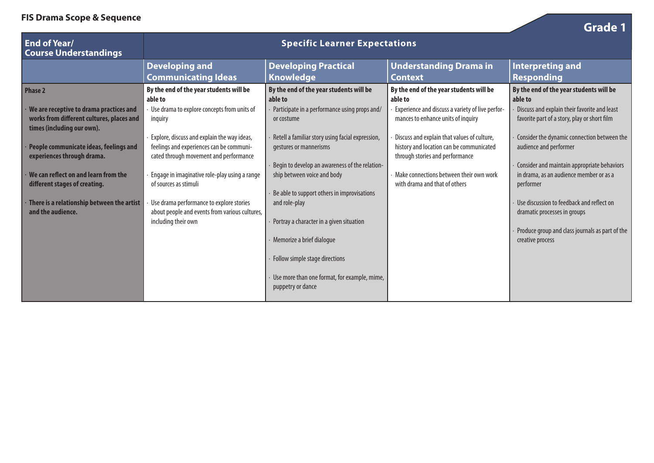| ris prama scope & sequence                                                                                         |                                                                                                                                   |                                                                               |                                                                                                                            | <b>Grade 1</b>                                                                                      |
|--------------------------------------------------------------------------------------------------------------------|-----------------------------------------------------------------------------------------------------------------------------------|-------------------------------------------------------------------------------|----------------------------------------------------------------------------------------------------------------------------|-----------------------------------------------------------------------------------------------------|
| <b>End of Year/</b><br><b>Course Understandings</b>                                                                |                                                                                                                                   | <b>Specific Learner Expectations</b>                                          |                                                                                                                            |                                                                                                     |
|                                                                                                                    | <b>Developing and</b><br><b>Communicating Ideas</b>                                                                               | <b>Developing Practical</b><br><b>Knowledge</b>                               | <b>Understanding Drama in</b><br><b>Context</b>                                                                            | <b>Interpreting and</b><br><b>Responding</b>                                                        |
| <b>Phase 2</b>                                                                                                     | By the end of the year students will be<br>able to                                                                                | By the end of the year students will be<br>able to                            | By the end of the year students will be<br>able to                                                                         | By the end of the year students will be<br>able to                                                  |
| We are receptive to drama practices and<br>works from different cultures, places and<br>times (including our own). | Use drama to explore concepts from units of<br>inquiry                                                                            | Participate in a performance using props and/<br>or costume                   | Experience and discuss a variety of live perfor-<br>mances to enhance units of inquiry                                     | Discuss and explain their favorite and least<br>favorite part of a story, play or short film        |
| People communicate ideas, feelings and<br>experiences through drama.                                               | Explore, discuss and explain the way ideas,<br>feelings and experiences can be communi-<br>cated through movement and performance | Retell a familiar story using facial expression,<br>gestures or mannerisms    | Discuss and explain that values of culture,<br>history and location can be communicated<br>through stories and performance | Consider the dynamic connection between the<br>audience and performer                               |
| We can reflect on and learn from the<br>different stages of creating.                                              | Engage in imaginative role-play using a range<br>of sources as stimuli                                                            | Begin to develop an awareness of the relation-<br>ship between voice and body | $\cdot$ Make connections between their own work<br>with drama and that of others                                           | Consider and maintain appropriate behaviors<br>in drama, as an audience member or as a<br>performer |
| There is a relationship between the artist<br>and the audience.                                                    | Use drama performance to explore stories<br>about people and events from various cultures,                                        | Be able to support others in improvisations<br>and role-play                  |                                                                                                                            | Use discussion to feedback and reflect on<br>dramatic processes in groups                           |
|                                                                                                                    | including their own                                                                                                               | Portray a character in a given situation<br>Memorize a brief dialogue         |                                                                                                                            | Produce group and class journals as part of the<br>creative process                                 |
|                                                                                                                    |                                                                                                                                   | Follow simple stage directions                                                |                                                                                                                            |                                                                                                     |
|                                                                                                                    |                                                                                                                                   | Use more than one format, for example, mime,<br>puppetry or dance             |                                                                                                                            |                                                                                                     |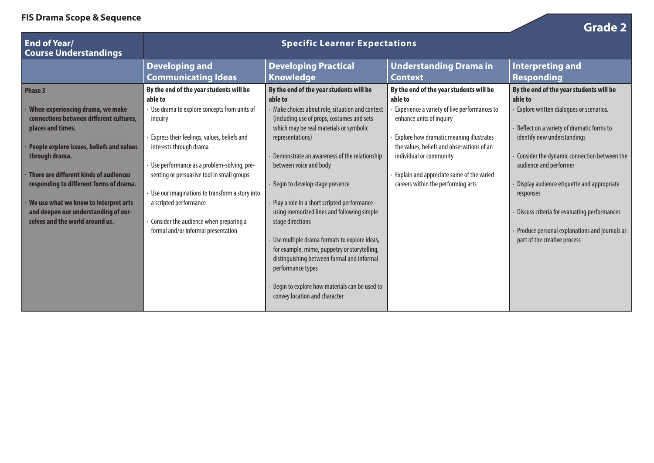| <b>End of Year/</b><br><b>Course Understandings</b>                                           |                                                                                                   | <b>Specific Learner Expectations</b>                                                                                                                            |                                                                                                                                | <b>Grade 2</b>                                                                                |
|-----------------------------------------------------------------------------------------------|---------------------------------------------------------------------------------------------------|-----------------------------------------------------------------------------------------------------------------------------------------------------------------|--------------------------------------------------------------------------------------------------------------------------------|-----------------------------------------------------------------------------------------------|
|                                                                                               | <b>Developing and</b><br><b>Communicating Ideas</b>                                               | <b>Developing Practical</b><br><b>Knowledge</b>                                                                                                                 | <b>Understanding Drama in</b><br><b>Context</b>                                                                                | <b>Interpreting and</b><br><b>Responding</b>                                                  |
| <b>Phase 3</b><br>When experiencing drama, we make<br>connections between different cultures, | By the end of the year students will be<br>able to<br>Use drama to explore concepts from units of | By the end of the year students will be<br>able to<br>Make choices about role, situation and context<br>(including use of props, costumes and sets              | By the end of the year students will be<br>able to<br>Experience a variety of live performances to<br>enhance units of inquiry | By the end of the year students will be<br>able to<br>Explore written dialogues or scenarios. |
| places and times.<br>People explore issues, beliefs and values                                | inquiry<br>Express their feelings, values, beliefs and<br>interests through drama                 | which may be real materials or symbolic<br>representations)                                                                                                     | Explore how dramatic meaning illustrates<br>the values, beliefs and observations of an                                         | Reflect on a variety of dramatic forms to<br>identify new understandings                      |
| through drama.<br>There are different kinds of audiences                                      | · Use performance as a problem-solving, pre-<br>senting or persuasive tool in small groups        | Demonstrate an awareness of the relationship<br>between voice and body                                                                                          | individual or community<br>Explain and appreciate some of the varied                                                           | Consider the dynamic connection between the<br>audience and performer                         |
| responding to different forms of drama.<br>We use what we know to interpret arts              | Use our imaginations to transform a story into<br>a scripted performance                          | Begin to develop stage presence<br>Play a role in a short scripted performance -                                                                                | careers within the performing arts                                                                                             | Display audience etiquette and appropriate<br>responses                                       |
| and deepen our understanding of our-<br>selves and the world around us.                       | Consider the audience when preparing a<br>formal and/or informal presentation                     | using memorized lines and following simple<br>stage directions                                                                                                  |                                                                                                                                | Discuss criteria for evaluating performances<br>Produce personal explanations and journals as |
|                                                                                               |                                                                                                   | Use multiple drama formats to explore ideas,<br>for example, mime, puppetry or storytelling,<br>distinguishing between formal and informal<br>performance types |                                                                                                                                | part of the creative process                                                                  |
|                                                                                               |                                                                                                   | Begin to explore how materials can be used to<br>convey location and character                                                                                  |                                                                                                                                |                                                                                               |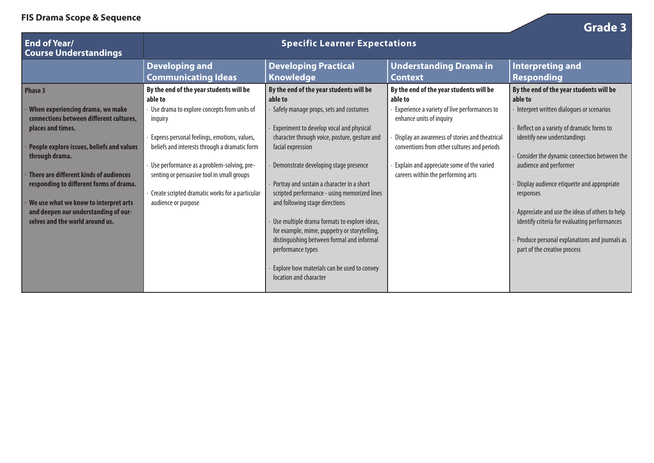| r is praina scope & sequence                                                |                                                                                          |                                                                                            |                                                                                 | Grade 3                                                                                         |
|-----------------------------------------------------------------------------|------------------------------------------------------------------------------------------|--------------------------------------------------------------------------------------------|---------------------------------------------------------------------------------|-------------------------------------------------------------------------------------------------|
| <b>End of Year/</b><br><b>Course Understandings</b>                         |                                                                                          |                                                                                            |                                                                                 |                                                                                                 |
|                                                                             | <b>Developing and</b>                                                                    | <b>Developing Practical</b>                                                                | <b>Understanding Drama in</b>                                                   | <b>Interpreting and</b>                                                                         |
|                                                                             | <b>Communicating Ideas</b>                                                               | <b>Knowledge</b>                                                                           | <b>Context</b>                                                                  | <b>Responding</b>                                                                               |
| Phase 3                                                                     | By the end of the year students will be<br>able to                                       | By the end of the year students will be<br>able to                                         | By the end of the year students will be<br>able to                              | By the end of the year students will be<br>able to                                              |
| When experiencing drama, we make<br>connections between different cultures, | Use drama to explore concepts from units of<br>inquiry                                   | Safely manage props, sets and costumes                                                     | Experience a variety of live performances to<br>enhance units of inquiry        | Interpret written dialogues or scenarios                                                        |
| places and times.                                                           | Express personal feelings, emotions, values,                                             | Experiment to develop vocal and physical<br>character through voice, posture, gesture and  | Display an awareness of stories and theatrical                                  | Reflect on a variety of dramatic forms to<br>identify new understandings                        |
| People explore issues, beliefs and values<br>through drama.                 | beliefs and interests through a dramatic form                                            | facial expression                                                                          | conventions from other cultures and periods                                     | Consider the dynamic connection between the                                                     |
| There are different kinds of audiences                                      | Use performance as a problem-solving, pre-<br>senting or persuasive tool in small groups | Demonstrate developing stage presence                                                      | Explain and appreciate some of the varied<br>careers within the performing arts | audience and performer                                                                          |
| responding to different forms of drama.                                     | Create scripted dramatic works for a particular                                          | Portray and sustain a character in a short<br>scripted performance - using memorized lines |                                                                                 | Display audience etiquette and appropriate<br>responses                                         |
| We use what we know to interpret arts                                       | audience or purpose                                                                      | and following stage directions                                                             |                                                                                 |                                                                                                 |
| and deepen our understanding of our-<br>selves and the world around us.     |                                                                                          | Use multiple drama formats to explore ideas,                                               |                                                                                 | Appreciate and use the ideas of others to help<br>identify criteria for evaluating performances |
|                                                                             |                                                                                          | for example, mime, puppetry or storytelling,<br>distinguishing between formal and informal |                                                                                 | Produce personal explanations and journals as                                                   |
|                                                                             |                                                                                          | performance types                                                                          |                                                                                 | part of the creative process                                                                    |
|                                                                             |                                                                                          | Explore how materials can be used to convey<br>location and character                      |                                                                                 |                                                                                                 |
|                                                                             |                                                                                          |                                                                                            |                                                                                 |                                                                                                 |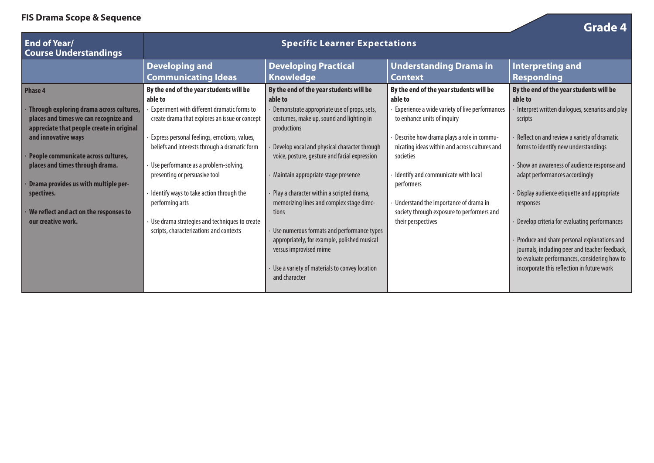| $\sim$ Digitia scope $\alpha$ sequence                                                                                                                                                                                                                                                                                                                                  |                                                                                                                                                                                                                                                                                                                                                                                                                                                                                           |                                                                                                                                                                                                                                                                                                                                                                                                                                                                                                                                                                                                   |                                                                                                                                                                                                                                                                                                                                                                                                                  | <b>Grade 4</b>                                                                                                                                                                                                                                                                                                                                                                                                                                                                                                                                                                                    |
|-------------------------------------------------------------------------------------------------------------------------------------------------------------------------------------------------------------------------------------------------------------------------------------------------------------------------------------------------------------------------|-------------------------------------------------------------------------------------------------------------------------------------------------------------------------------------------------------------------------------------------------------------------------------------------------------------------------------------------------------------------------------------------------------------------------------------------------------------------------------------------|---------------------------------------------------------------------------------------------------------------------------------------------------------------------------------------------------------------------------------------------------------------------------------------------------------------------------------------------------------------------------------------------------------------------------------------------------------------------------------------------------------------------------------------------------------------------------------------------------|------------------------------------------------------------------------------------------------------------------------------------------------------------------------------------------------------------------------------------------------------------------------------------------------------------------------------------------------------------------------------------------------------------------|---------------------------------------------------------------------------------------------------------------------------------------------------------------------------------------------------------------------------------------------------------------------------------------------------------------------------------------------------------------------------------------------------------------------------------------------------------------------------------------------------------------------------------------------------------------------------------------------------|
| <b>End of Year/</b><br><b>Course Understandings</b>                                                                                                                                                                                                                                                                                                                     |                                                                                                                                                                                                                                                                                                                                                                                                                                                                                           |                                                                                                                                                                                                                                                                                                                                                                                                                                                                                                                                                                                                   |                                                                                                                                                                                                                                                                                                                                                                                                                  |                                                                                                                                                                                                                                                                                                                                                                                                                                                                                                                                                                                                   |
|                                                                                                                                                                                                                                                                                                                                                                         | <b>Developing and</b><br><b>Communicating Ideas</b>                                                                                                                                                                                                                                                                                                                                                                                                                                       | <b>Developing Practical</b><br>Knowledge                                                                                                                                                                                                                                                                                                                                                                                                                                                                                                                                                          | <b>Understanding Drama in</b><br><b>Context</b>                                                                                                                                                                                                                                                                                                                                                                  | <b>Interpreting and</b><br><b>Responding</b>                                                                                                                                                                                                                                                                                                                                                                                                                                                                                                                                                      |
| <b>Phase 4</b><br>Through exploring drama across cultures,<br>places and times we can recognize and<br>appreciate that people create in original<br>and innovative ways<br>People communicate across cultures,<br>places and times through drama.<br>Drama provides us with multiple per-<br>spectives.<br>We reflect and act on the responses to<br>our creative work. | By the end of the year students will be<br>able to<br>Experiment with different dramatic forms to<br>create drama that explores an issue or concept<br>Express personal feelings, emotions, values,<br>beliefs and interests through a dramatic form<br>Use performance as a problem-solving,<br>presenting or persuasive tool<br>Identify ways to take action through the<br>performing arts<br>Use drama strategies and techniques to create<br>scripts, characterizations and contexts | By the end of the year students will be<br>able to<br>Demonstrate appropriate use of props, sets,<br>costumes, make up, sound and lighting in<br>productions<br>Develop vocal and physical character through<br>voice, posture, gesture and facial expression<br>Maintain appropriate stage presence<br>Play a character within a scripted drama,<br>memorizing lines and complex stage direc-<br>tions<br>Use numerous formats and performance types<br>appropriately, for example, polished musical<br>versus improvised mime<br>Use a variety of materials to convey location<br>and character | By the end of the year students will be<br>able to<br>Experience a wide variety of live performances<br>to enhance units of inquiry<br>Describe how drama plays a role in commu-<br>nicating ideas within and across cultures and<br>societies<br>Identify and communicate with local<br>performers<br>Understand the importance of drama in<br>society through exposure to performers and<br>their perspectives | By the end of the year students will be<br>able to<br>Interpret written dialogues, scenarios and play<br>scripts<br>Reflect on and review a variety of dramatic<br>forms to identify new understandings<br>Show an awareness of audience response and<br>adapt performances accordingly<br>Display audience etiquette and appropriate<br>responses<br>Develop criteria for evaluating performances<br>Produce and share personal explanations and<br>journals, including peer and teacher feedback,<br>to evaluate performances, considering how to<br>incorporate this reflection in future work |